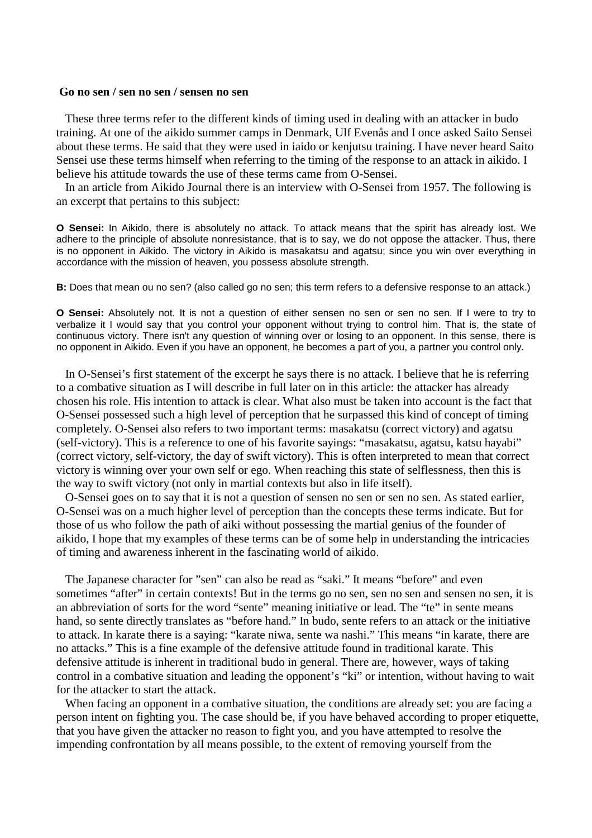## **Go no sen / sen no sen / sensen no sen**

 These three terms refer to the different kinds of timing used in dealing with an attacker in budo training. At one of the aikido summer camps in Denmark, Ulf Evenås and I once asked Saito Sensei about these terms. He said that they were used in iaido or kenjutsu training. I have never heard Saito Sensei use these terms himself when referring to the timing of the response to an attack in aikido. I believe his attitude towards the use of these terms came from O-Sensei.

In an article from Aikido Journal there is an interview with O-Sensei from 1957. The following is an excerpt that pertains to this subject:

**O Sensei:** In Aikido, there is absolutely no attack. To attack means that the spirit has already lost. We adhere to the principle of absolute nonresistance, that is to say, we do not oppose the attacker. Thus, there is no opponent in Aikido. The victory in Aikido is masakatsu and agatsu; since you win over everything in accordance with the mission of heaven, you possess absolute strength.

**B:** Does that mean ou no sen? (also called go no sen; this term refers to a defensive response to an attack.)

**O Sensei:** Absolutely not. It is not a question of either sensen no sen or sen no sen. If I were to try to verbalize it I would say that you control your opponent without trying to control him. That is, the state of continuous victory. There isn't any question of winning over or losing to an opponent. In this sense, there is no opponent in Aikido. Even if you have an opponent, he becomes a part of you, a partner you control only.

In O-Sensei's first statement of the excerpt he says there is no attack. I believe that he is referring to a combative situation as I will describe in full later on in this article: the attacker has already chosen his role. His intention to attack is clear. What also must be taken into account is the fact that O-Sensei possessed such a high level of perception that he surpassed this kind of concept of timing completely. O-Sensei also refers to two important terms: masakatsu (correct victory) and agatsu (self-victory). This is a reference to one of his favorite sayings: "masakatsu, agatsu, katsu hayabi" (correct victory, self-victory, the day of swift victory). This is often interpreted to mean that correct victory is winning over your own self or ego. When reaching this state of selflessness, then this is the way to swift victory (not only in martial contexts but also in life itself).

O-Sensei goes on to say that it is not a question of sensen no sen or sen no sen. As stated earlier, O-Sensei was on a much higher level of perception than the concepts these terms indicate. But for those of us who follow the path of aiki without possessing the martial genius of the founder of aikido, I hope that my examples of these terms can be of some help in understanding the intricacies of timing and awareness inherent in the fascinating world of aikido.

 The Japanese character for "sen" can also be read as "saki." It means "before" and even sometimes "after" in certain contexts! But in the terms go no sen, sen no sen and sensen no sen, it is an abbreviation of sorts for the word "sente" meaning initiative or lead. The "te" in sente means hand, so sente directly translates as "before hand." In budo, sente refers to an attack or the initiative to attack. In karate there is a saying: "karate niwa, sente wa nashi." This means "in karate, there are no attacks." This is a fine example of the defensive attitude found in traditional karate. This defensive attitude is inherent in traditional budo in general. There are, however, ways of taking control in a combative situation and leading the opponent's "ki" or intention, without having to wait for the attacker to start the attack.

When facing an opponent in a combative situation, the conditions are already set: you are facing a person intent on fighting you. The case should be, if you have behaved according to proper etiquette, that you have given the attacker no reason to fight you, and you have attempted to resolve the impending confrontation by all means possible, to the extent of removing yourself from the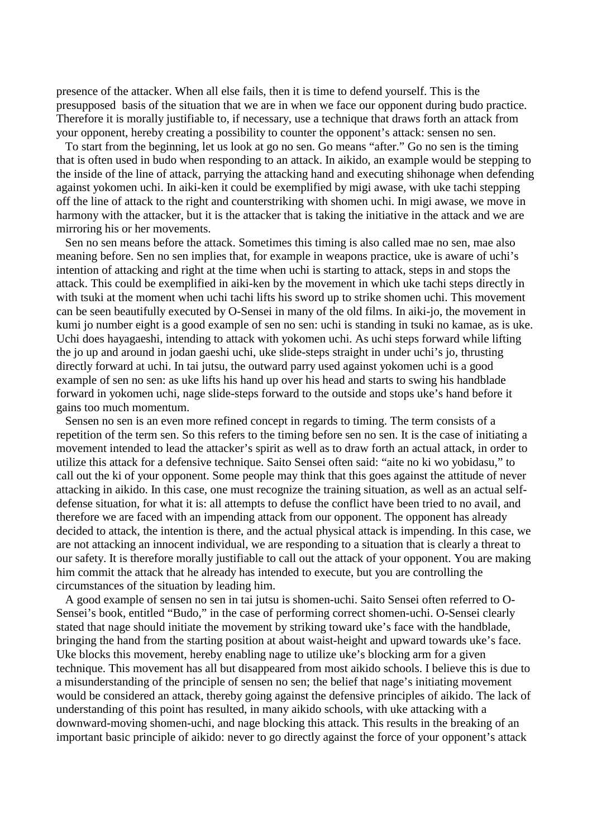presence of the attacker. When all else fails, then it is time to defend yourself. This is the presupposed basis of the situation that we are in when we face our opponent during budo practice. Therefore it is morally justifiable to, if necessary, use a technique that draws forth an attack from your opponent, hereby creating a possibility to counter the opponent's attack: sensen no sen.

 To start from the beginning, let us look at go no sen. Go means "after." Go no sen is the timing that is often used in budo when responding to an attack. In aikido, an example would be stepping to the inside of the line of attack, parrying the attacking hand and executing shihonage when defending against yokomen uchi. In aiki-ken it could be exemplified by migi awase, with uke tachi stepping off the line of attack to the right and counterstriking with shomen uchi. In migi awase, we move in harmony with the attacker, but it is the attacker that is taking the initiative in the attack and we are mirroring his or her movements.

Sen no sen means before the attack. Sometimes this timing is also called mae no sen, mae also meaning before. Sen no sen implies that, for example in weapons practice, uke is aware of uchi's intention of attacking and right at the time when uchi is starting to attack, steps in and stops the attack. This could be exemplified in aiki-ken by the movement in which uke tachi steps directly in with tsuki at the moment when uchi tachi lifts his sword up to strike shomen uchi. This movement can be seen beautifully executed by O-Sensei in many of the old films. In aiki-jo, the movement in kumi jo number eight is a good example of sen no sen: uchi is standing in tsuki no kamae, as is uke. Uchi does hayagaeshi, intending to attack with yokomen uchi. As uchi steps forward while lifting the jo up and around in jodan gaeshi uchi, uke slide-steps straight in under uchi's jo, thrusting directly forward at uchi. In tai jutsu, the outward parry used against yokomen uchi is a good example of sen no sen: as uke lifts his hand up over his head and starts to swing his handblade forward in yokomen uchi, nage slide-steps forward to the outside and stops uke's hand before it gains too much momentum.

Sensen no sen is an even more refined concept in regards to timing. The term consists of a repetition of the term sen. So this refers to the timing before sen no sen. It is the case of initiating a movement intended to lead the attacker's spirit as well as to draw forth an actual attack, in order to utilize this attack for a defensive technique. Saito Sensei often said: "aite no ki wo yobidasu," to call out the ki of your opponent. Some people may think that this goes against the attitude of never attacking in aikido. In this case, one must recognize the training situation, as well as an actual selfdefense situation, for what it is: all attempts to defuse the conflict have been tried to no avail, and therefore we are faced with an impending attack from our opponent. The opponent has already decided to attack, the intention is there, and the actual physical attack is impending. In this case, we are not attacking an innocent individual, we are responding to a situation that is clearly a threat to our safety. It is therefore morally justifiable to call out the attack of your opponent. You are making him commit the attack that he already has intended to execute, but you are controlling the circumstances of the situation by leading him.

A good example of sensen no sen in tai jutsu is shomen-uchi. Saito Sensei often referred to O-Sensei's book, entitled "Budo," in the case of performing correct shomen-uchi. O-Sensei clearly stated that nage should initiate the movement by striking toward uke's face with the handblade, bringing the hand from the starting position at about waist-height and upward towards uke's face. Uke blocks this movement, hereby enabling nage to utilize uke's blocking arm for a given technique. This movement has all but disappeared from most aikido schools. I believe this is due to a misunderstanding of the principle of sensen no sen; the belief that nage's initiating movement would be considered an attack, thereby going against the defensive principles of aikido. The lack of understanding of this point has resulted, in many aikido schools, with uke attacking with a downward-moving shomen-uchi, and nage blocking this attack. This results in the breaking of an important basic principle of aikido: never to go directly against the force of your opponent's attack